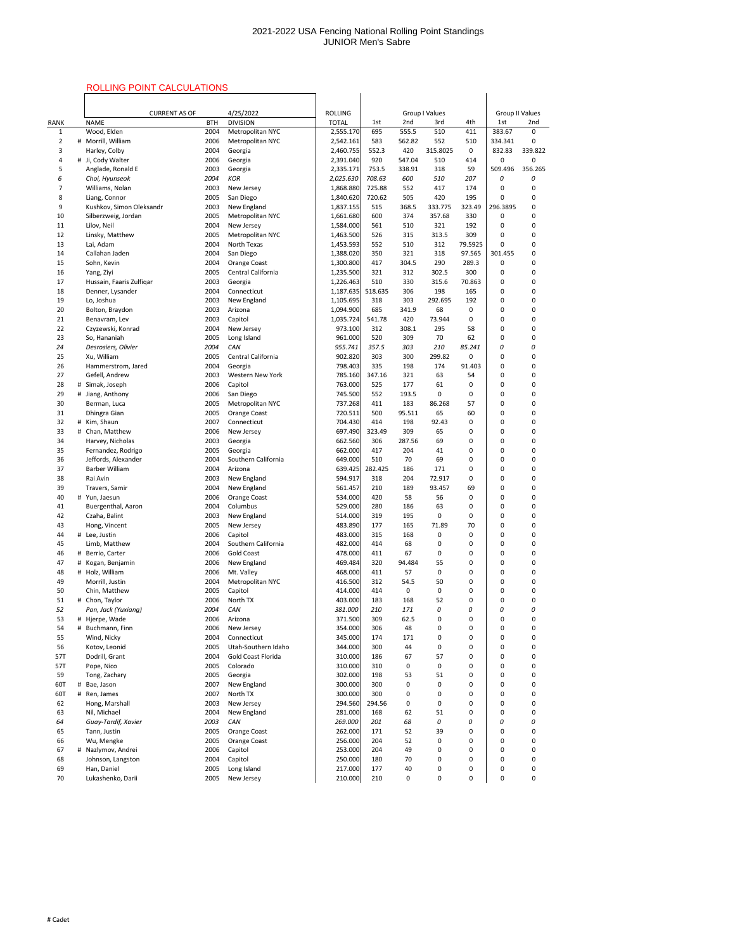# ROLLING POINT CALCULATIONS

|                                |   | <b>ROLLING POINT CALCULATIONS</b>   |              |                                      |                        |                |                 |                       |            |                        |                   |
|--------------------------------|---|-------------------------------------|--------------|--------------------------------------|------------------------|----------------|-----------------|-----------------------|------------|------------------------|-------------------|
|                                |   |                                     |              |                                      |                        |                |                 |                       |            |                        |                   |
|                                |   | <b>CURRENT AS OF</b>                |              | 4/25/2022                            | <b>ROLLING</b>         |                |                 | <b>Group I Values</b> |            | <b>Group II Values</b> |                   |
| <b>RANK</b>                    |   | <b>NAME</b>                         | <b>BTH</b>   | <b>DIVISION</b>                      | <b>TOTAL</b>           | 1st            | 2nd             | 3rd                   | 4th        | 1st                    | 2nd               |
| $\mathbf{1}$<br>$\overline{2}$ |   | Wood, Elden<br># Morrill, William   | 2004<br>2006 | Metropolitan NYC<br>Metropolitan NYC | 2,555.170<br>2,542.161 | 695<br>583     | 555.5<br>562.82 | 510<br>552            | 411<br>510 | 383.67<br>334.341      | $\mathbf{0}$<br>0 |
| 3                              |   | Harley, Colby                       | 2004         | Georgia                              | 2,460.755              | 552.3          | 420             | 315.8025              | 0          | 832.83                 | 339.822           |
| 4                              |   | # Ji, Cody Walter                   | 2006         | Georgia                              | 2,391.040              | 920            | 547.04          | 510                   | 414        | 0                      | 0                 |
| 5                              |   | Anglade, Ronald E                   | 2003         | Georgia                              | 2,335.171              | 753.5          | 338.91          | 318                   | 59         | 509.496                | 356.265           |
| 6                              |   | Choi, Hyunseok                      | 2004         | <b>KOR</b>                           | 2,025.630              | 708.63         | 600             | 510                   | 207        | 0                      | 0                 |
| 7                              |   | Williams, Nolan                     | 2003         | New Jersey                           | 1,868.880              | 725.88         | 552             | 417                   | 174        | 0                      | 0                 |
| 8                              |   | Liang, Connor                       | 2005         | San Diego                            | 1,840.620              | 720.62         | 505             | 420                   | 195        | 0                      | 0                 |
| 9                              |   | Kushkov, Simon Oleksandr            | 2003         | New England                          | 1,837.155              | 515            | 368.5           | 333.775               | 323.49     | 296.3895               | 0                 |
| 10<br>11                       |   | Silberzweig, Jordan<br>Lilov, Neil  | 2005<br>2004 | Metropolitan NYC<br>New Jersey       | 1,661.680<br>1,584.000 | 600<br>561     | 374<br>510      | 357.68<br>321         | 330<br>192 | 0<br>0                 | 0<br>0            |
| 12                             |   | Linsky, Matthew                     | 2005         | Metropolitan NYC                     | 1,463.500              | 526            | 315             | 313.5                 | 309        | 0                      | 0                 |
| 13                             |   | Lai, Adam                           | 2004         | North Texas                          | 1,453.593              | 552            | 510             | 312                   | 79.5925    | 0                      | 0                 |
| 14                             |   | Callahan Jaden                      | 2004         | San Diego                            | 1,388.020              | 350            | 321             | 318                   | 97.565     | 301.455                | 0                 |
| 15                             |   | Sohn, Kevin                         | 2004         | Orange Coast                         | 1,300.800              | 417            | 304.5           | 290                   | 289.3      | 0                      | 0                 |
| 16                             |   | Yang, Ziyi                          | 2005         | Central California                   | 1,235.500              | 321            | 312             | 302.5                 | 300        | 0                      | 0                 |
| 17                             |   | Hussain, Faaris Zulfiqar            | 2003         | Georgia                              | 1,226.463              | 510            | 330             | 315.6                 | 70.863     | 0                      | 0                 |
| 18                             |   | Denner, Lysander                    | 2004         | Connecticut                          | 1,187.635              | 518.635        | 306             | 198                   | 165        | 0                      | 0                 |
| 19<br>20                       |   | Lo, Joshua<br>Bolton, Braydon       | 2003<br>2003 | New England<br>Arizona               | 1,105.695<br>1,094.900 | 318<br>685     | 303<br>341.9    | 292.695<br>68         | 192<br>0   | 0<br>0                 | 0<br>0            |
| 21                             |   | Benavram, Lev                       | 2003         | Capitol                              | 1,035.724              | 541.78         | 420             | 73.944                | 0          | 0                      | 0                 |
| 22                             |   | Czyzewski, Konrad                   | 2004         | New Jersey                           | 973.100                | 312            | 308.1           | 295                   | 58         | 0                      | 0                 |
| 23                             |   | So, Hananiah                        | 2005         | Long Island                          | 961.000                | 520            | 309             | 70                    | 62         | 0                      | 0                 |
| 24                             |   | Desrosiers, Olivier                 | 2004         | CAN                                  | 955.741                | 357.5          | 303             | 210                   | 85.241     | 0                      | 0                 |
| 25                             |   | Xu, William                         | 2005         | Central California                   | 902.820                | 303            | 300             | 299.82                | 0          | 0                      | 0                 |
| 26                             |   | Hammerstrom, Jared                  | 2004         | Georgia                              | 798.403                | 335            | 198             | 174                   | 91.403     | 0                      | 0                 |
| 27                             |   | Gefell, Andrew                      | 2003         | <b>Western New York</b>              | 785.160                | 347.16         | 321             | 63                    | 54         | 0                      | 0                 |
| 28<br>29                       |   | # Simak, Joseph<br># Jiang, Anthony | 2006<br>2006 | Capitol<br>San Diego                 | 763.000<br>745.500     | 525<br>552     | 177<br>193.5    | 61<br>0               | 0<br>0     | 0<br>0                 | 0<br>0            |
| 30                             |   | Berman, Luca                        | 2005         | Metropolitan NYC                     | 737.268                | 411            | 183             | 86.268                | 57         | 0                      | 0                 |
| 31                             |   | Dhingra Gian                        | 2005         | Orange Coast                         | 720.511                | 500            | 95.511          | 65                    | 60         | 0                      | 0                 |
| 32                             |   | # Kim, Shaun                        | 2007         | Connecticut                          | 704.430                | 414            | 198             | 92.43                 | 0          | 0                      | 0                 |
| 33                             |   | # Chan, Matthew                     | 2006         | New Jersey                           | 697.490                | 323.49         | 309             | 65                    | 0          | 0                      | 0                 |
| 34                             |   | Harvey, Nicholas                    | 2003         | Georgia                              | 662.560                | 306            | 287.56          | 69                    | 0          | 0                      | 0                 |
| 35                             |   | Fernandez, Rodrigo                  | 2005         | Georgia                              | 662.000                | 417            | 204             | 41                    | 0          | 0                      | 0                 |
| 36                             |   | Jeffords, Alexander                 | 2004         | Southern California                  | 649.000                | 510            | 70              | 69                    | 0          | 0                      | 0                 |
| 37<br>38                       |   | <b>Barber William</b><br>Rai Avin   | 2004<br>2003 | Arizona<br>New England               | 639.425<br>594.917     | 282.425<br>318 | 186<br>204      | 171<br>72.917         | 0<br>0     | 0<br>0                 | 0<br>0            |
| 39                             |   | Travers, Samir                      | 2004         | New England                          | 561.457                | 210            | 189             | 93.457                | 69         | 0                      | 0                 |
| 40                             |   | # Yun, Jaesun                       | 2006         | Orange Coast                         | 534.000                | 420            | 58              | 56                    | 0          | 0                      | 0                 |
| 41                             |   | Buergenthal, Aaron                  | 2004         | Columbus                             | 529.000                | 280            | 186             | 63                    | 0          | 0                      | 0                 |
| 42                             |   | Czaha, Balint                       | 2003         | New England                          | 514.000                | 319            | 195             | 0                     | 0          | 0                      | 0                 |
| 43                             |   | Hong, Vincent                       | 2005         | New Jersey                           | 483.890                | 177            | 165             | 71.89                 | 70         | 0                      | 0                 |
| 44                             |   | # Lee, Justin                       | 2006         | Capitol                              | 483.000                | 315            | 168             | 0                     | 0          | 0                      | 0                 |
| 45                             |   | Limb, Matthew                       | 2004         | Southern California                  | 482.000                | 414            | 68              | 0                     | 0          | 0                      | 0                 |
| 46<br>47                       | # | Berrio, Carter<br># Kogan, Benjamin | 2006<br>2006 | <b>Gold Coast</b><br>New England     | 478.000<br>469.484     | 411<br>320     | 67<br>94.484    | 0<br>55               | 0<br>0     | 0<br>0                 | 0<br>0            |
| 48                             |   | # Holz, William                     | 2006         | Mt. Valley                           | 468.000                | 411            | 57              | 0                     | 0          | 0                      | 0                 |
| 49                             |   | Morrill, Justin                     | 2004         | Metropolitan NYC                     | 416.500                | 312            | 54.5            | 50                    | 0          | 0                      | 0                 |
| 50                             |   | Chin, Matthew                       | 2005         | Capitol                              | 414.000                | 414            | 0               | 0                     | 0          | 0                      | 0                 |
| 51                             |   | # Chon, Taylor                      | 2006         | North TX                             | 403.000                | 183            | 168             | 52                    | 0          | 0                      | 0                 |
| 52                             |   | Pan, Jack (Yuxiang)                 | 2004         | CAN                                  | 381.000                | 210            | 171             | 0                     | 0          | 0                      | 0                 |
| 53                             |   | # Hjerpe, Wade                      | 2006         | Arizona                              | 371.500                | 309            | 62.5            | 0                     | 0          | 0                      | 0                 |
| 54                             |   | # Buchmann, Finn                    | 2006         | New Jersey                           | 354.000                | 306            | 48              | 0                     | 0          | 0                      | 0                 |
| 55<br>56                       |   | Wind, Nicky<br>Kotov, Leonid        | 2004<br>2005 | Connecticut<br>Utah-Southern Idaho   | 345.000<br>344.000     | 174<br>300     | 171<br>44       | 0<br>0                | 0<br>0     | 0<br>0                 | 0<br>0            |
| 57T                            |   | Dodrill, Grant                      | 2004         | <b>Gold Coast Florida</b>            | 310.000                | 186            | 67              | 57                    | 0          | 0                      | 0                 |
| 57T                            |   | Pope, Nico                          | 2005         | Colorado                             | 310.000                | 310            | 0               | 0                     | 0          | 0                      | 0                 |
| 59                             |   | Tong, Zachary                       | 2005         | Georgia                              | 302.000                | 198            | 53              | 51                    | 0          | 0                      | 0                 |
| 60T                            |   | # Bae, Jason                        | 2007         | New England                          | 300.000                | 300            | 0               | 0                     | 0          | 0                      | 0                 |
| 60T                            |   | # Ren, James                        | 2007         | North TX                             | 300.000                | 300            | 0               | 0                     | 0          | 0                      | 0                 |
| 62                             |   | Hong, Marshall                      | 2003         | New Jersey                           | 294.560                | 294.56         | 0               | 0                     | 0          | 0                      | 0                 |
| 63                             |   | Nil, Michael                        | 2004         | New England                          | 281.000                | 168            | 62              | 51                    | 0          | 0                      | 0                 |
| 64<br>65                       |   | Guay-Tardif, Xavier<br>Tann, Justin | 2003<br>2005 | CAN<br>Orange Coast                  | 269.000<br>262.000     | 201<br>171     | 68<br>52        | 0<br>39               | 0<br>0     | 0<br>0                 | 0<br>0            |
| 66                             |   | Wu, Mengke                          | 2005         | Orange Coast                         | 256.000                | 204            | 52              | 0                     | 0          | 0                      | 0                 |
| 67                             |   | # Nazlymov, Andrei                  | 2006         | Capitol                              | 253.000                | 204            | 49              | 0                     | 0          | 0                      | 0                 |
| 68                             |   | Johnson, Langston                   | 2004         | Capitol                              | 250.000                | 180            | 70              | 0                     | 0          | 0                      | 0                 |
| 69                             |   | Han, Daniel                         | 2005         | Long Island                          | 217.000                | 177            | 40              | 0                     | 0          | 0                      | 0                 |
| 70                             |   | Lukashenko, Darii                   | 2005         | New Jersey                           | 210.000                | 210            | 0               | 0                     | 0          | 0                      | 0                 |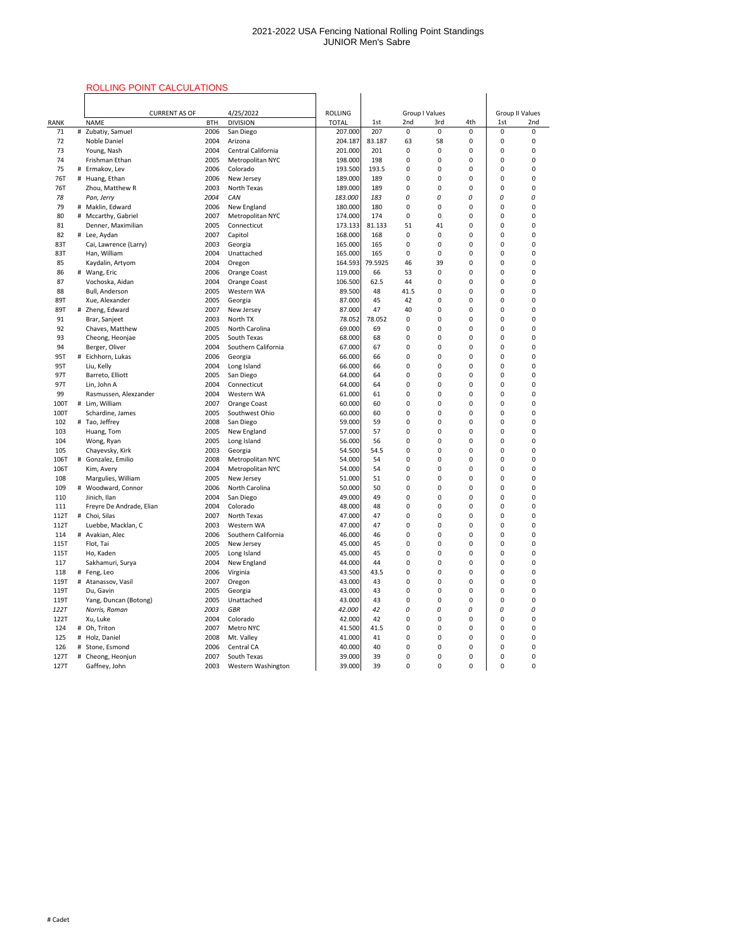## ROLLING POINT CALCULATIONS

|                     |   | ROLLING POINT CALCULATIONS             |              |                                       |                    |            |             |                       |        |             |                        |
|---------------------|---|----------------------------------------|--------------|---------------------------------------|--------------------|------------|-------------|-----------------------|--------|-------------|------------------------|
|                     |   |                                        |              |                                       |                    |            |             |                       |        |             |                        |
|                     |   | <b>CURRENT AS OF</b>                   |              | 4/25/2022                             | <b>ROLLING</b>     |            |             | <b>Group I Values</b> |        |             | <b>Group II Values</b> |
| <b>RANK</b>         |   | <b>NAME</b>                            | <b>BTH</b>   | <b>DIVISION</b>                       | <b>TOTAL</b>       | 1st        | 2nd         | 3rd                   | 4th    | 1st         | 2nd                    |
| 71                  |   | # Zubatiy, Samuel                      | 2006         | San Diego                             | 207.000            | 207        | $\mathbf 0$ | $\mathbf 0$           | 0      | $\mathbf 0$ | 0                      |
| 72                  |   | <b>Noble Daniel</b>                    | 2004         | Arizona                               | 204.187            | 83.187     | 63          | 58                    | 0      | 0           | 0                      |
| 73                  |   | Young, Nash                            | 2004         | Central California                    | 201.000            | 201        | 0           | $\mathbf 0$           | 0      | 0           | 0                      |
| 74                  |   | Frishman Ethan                         | 2005         | Metropolitan NYC                      | 198.000            | 198        | 0           | 0                     | 0      | 0           | 0                      |
| 75                  |   | # Ermakov, Lev                         | 2006         | Colorado                              | 193.500            | 193.5      | 0           | 0                     | 0      | 0           | 0                      |
| 76T                 |   | # Huang, Ethan                         | 2006         | New Jersey                            | 189.000            | 189        | 0           | 0                     | 0      | 0           | 0                      |
| 76T                 |   | Zhou, Matthew R                        | 2003         | <b>North Texas</b>                    | 189.000            | 189        | 0           | 0                     | 0      | 0           | 0                      |
| 78<br>79            |   | Pan, Jerry<br># Maklin, Edward         | 2004<br>2006 | CAN<br>New England                    | 183.000<br>180.000 | 183<br>180 | 0<br>0      | 0<br>0                | 0<br>0 | 0<br>0      | 0                      |
| 80                  |   | # Mccarthy, Gabriel                    | 2007         | Metropolitan NYC                      | 174.000            | 174        | 0           | 0                     | 0      | 0           | 0<br>0                 |
| 81                  |   | Denner, Maximilian                     | 2005         | Connecticut                           | 173.133            | 81.133     | 51          | 41                    | 0      | 0           | 0                      |
| 82                  |   | # Lee, Aydan                           | 2007         | Capitol                               | 168.000            | 168        | 0           | 0                     | 0      | 0           | 0                      |
| 83T                 |   | Cai, Lawrence (Larry)                  | 2003         | Georgia                               | 165.000            | 165        | 0           | 0                     | 0      | 0           | 0                      |
| 83T                 |   | Han, William                           | 2004         | Unattached                            | 165.000            | 165        | 0           | 0                     | 0      | 0           | 0                      |
| 85                  |   | Kaydalin, Artyom                       | 2004         | Oregon                                | 164.593            | 79.5925    | 46          | 39                    | 0      | 0           | 0                      |
| 86                  |   | # Wang, Eric                           | 2006         | Orange Coast                          | 119.000            | 66         | 53          | 0                     | 0      | 0           | 0                      |
| 87                  |   | Vochoska, Aidan                        | 2004         | <b>Orange Coast</b>                   | 106.500            | 62.5       | 44          | 0                     | 0      | 0           | 0                      |
| 88                  |   | <b>Bull, Anderson</b>                  | 2005         | Western WA                            | 89.500             | 48         | 41.5        | $\mathbf 0$           | 0      | 0           | 0                      |
| 89T                 |   | Xue, Alexander                         | 2005         | Georgia                               | 87.000             | 45         | 42          | 0                     | 0      | 0           | 0                      |
| 89T                 |   | # Zheng, Edward                        | 2007         | New Jersey                            | 87.000             | 47         | 40          | 0                     | 0      | 0           | 0                      |
| 91                  |   | Brar, Sanjeet                          | 2003         | North TX                              | 78.052             | 78.052     | 0           | 0                     | 0      | 0           | 0                      |
| 92                  |   | Chaves, Matthew                        | 2005         | North Carolina                        | 69.000             | 69         | 0           | 0                     | 0      | 0           | 0                      |
| 93                  |   | Cheong, Heonjae                        | 2005         | South Texas                           | 68.000             | 68         | 0           | 0                     | 0      | 0           | 0                      |
| 94                  |   | Berger, Oliver                         | 2004         | Southern California                   | 67.000             | 67         | 0           | 0                     | 0      | 0           | 0                      |
| 95T                 |   | Eichhorn, Lukas                        | 2006         | Georgia                               | 66.000             | 66         | 0           | 0                     | 0      | 0           | 0                      |
| 95T                 |   | Liu, Kelly                             | 2004         | Long Island                           | 66.000             | 66         | 0           | 0                     | 0      | 0           | 0                      |
| 97T                 |   | Barreto, Elliott                       | 2005         | San Diego                             | 64.000             | 64         | 0           | 0                     | 0      | 0           | 0                      |
| 97T                 |   | Lin, John A                            | 2004         | Connecticut                           | 64.000             | 64         | 0           | 0                     | 0      | 0           | ი                      |
| 99                  |   | Rasmussen, Alexzander                  | 2004         | Western WA                            | 61.000             | 61         | 0           | 0                     | 0      | 0           | 0                      |
| <b>100T</b><br>100T |   | # Lim, William<br>Schardine, James     | 2007<br>2005 | <b>Orange Coast</b><br>Southwest Ohio | 60.000<br>60.000   | 60<br>60   | 0<br>0      | 0<br>0                | 0<br>0 | 0<br>0      | 0<br>0                 |
| 102                 |   | # Tao, Jeffrey                         | 2008         | San Diego                             | 59.000             | 59         | 0           | 0                     | 0      | 0           | ი                      |
| 103                 |   | Huang, Tom                             | 2005         | New England                           | 57.000             | 57         | 0           | 0                     | 0      | 0           | 0                      |
| 104                 |   | Wong, Ryan                             | 2005         | Long Island                           | 56.000             | 56         | 0           | 0                     | 0      | 0           | 0                      |
| 105                 |   | Chayevsky, Kirk                        | 2003         | Georgia                               | 54.500             | 54.5       | 0           | 0                     | 0      | 0           | 0                      |
| <b>106T</b>         |   | # Gonzalez, Emilio                     | 2008         | Metropolitan NYC                      | 54.000             | 54         | 0           | 0                     | 0      | 0           | O                      |
| 106T                |   | Kim, Avery                             | 2004         | Metropolitan NYC                      | 54.000             | 54         | 0           | 0                     | 0      | 0           | ი                      |
| 108                 |   | Margulies, William                     | 2005         | New Jersey                            | 51.000             | 51         | 0           | 0                     | 0      | 0           | 0                      |
| 109                 |   | # Woodward, Connor                     | 2006         | North Carolina                        | 50.000             | 50         | 0           | 0                     | 0      | 0           | 0                      |
| 110                 |   | Jinich, Ilan                           | 2004         | San Diego                             | 49.000             | 49         | 0           | 0                     | 0      | 0           | 0                      |
| 111                 |   | Freyre De Andrade, Elian               | 2004         | Colorado                              | 48.000             | 48         | 0           | 0                     | 0      | 0           | 0                      |
| 112T                |   | # Choi, Silas                          | 2007         | North Texas                           | 47.000             | 47         | 0           | 0                     | 0      | 0           | ი                      |
| 112T                |   | Luebbe, Macklan, C                     | 2003         | Western WA                            | 47.000             | 47         | 0           | 0                     | 0      | 0           | 0                      |
| 114                 |   | # Avakian, Alec                        | 2006         | Southern California                   | 46.000             | 46         | 0           | 0                     | 0      | 0           | 0                      |
| 115T                |   | Flot, Tai                              | 2005         | New Jersey                            | 45.000             | 45         | 0           | 0                     | 0      | 0           | 0                      |
| 115T                |   | Ho, Kaden                              | 2005         | Long Island                           | 45.000             | 45         | 0           | 0                     | 0      | 0           | 0                      |
| 117                 |   | Sakhamuri, Surya                       | 2004         | New England                           | 44.000             | 44         | 0           | 0                     | 0      | 0           | ი                      |
| 118                 |   | # Feng, Leo                            | 2006         | Virginia                              | 43.500             | 43.5       | 0           | 0                     | 0      | 0           | ი                      |
| 119T                | # | Atanassov, Vasil                       | 2007         | Oregon                                | 43.000             | 43         | 0           | 0                     | 0      | 0           | <sup>0</sup>           |
| 119T                |   | Du, Gavin                              | 2005         | Georgia                               | 43.000             | 43         | 0           | 0                     | 0      | 0           | O                      |
| 119T<br><b>122T</b> |   | Yang, Duncan (Botong)<br>Norris, Roman | 2005<br>2003 | Unattached<br><b>GBR</b>              | 43.000<br>42.000   | 43<br>42   | 0<br>0      | 0                     | 0      | 0<br>0      | 0                      |
| 122T                |   | Xu, Luke                               | 2004         | Colorado                              | 42.000             | 42         | 0           | 0<br>0                | 0<br>0 | 0           | 0                      |
| 124                 |   | # Oh, Triton                           | 2007         | Metro NYC                             | 41.500             | 41.5       | 0           | 0                     | 0      | 0           | 0                      |
| 125                 |   | # Holz, Daniel                         | 2008         | Mt. Valley                            | 41.000             | 41         | 0           | 0                     | 0      | 0           | 0                      |
| 126                 |   | # Stone, Esmond                        | 2006         | Central CA                            | 40.000             | 40         | 0           | 0                     | 0      | 0           | 0                      |
| 127T                |   | # Cheong, Heonjun                      | 2007         | South Texas                           | 39.000             | 39         | 0           | 0                     | 0      | 0           | 0                      |
| 127T                |   | Gaffney, John                          | 2003         | Western Washington                    | 39.000             | 39         | 0           | 0                     | 0      | 0           | 0                      |
|                     |   |                                        |              |                                       |                    |            |             |                       |        |             |                        |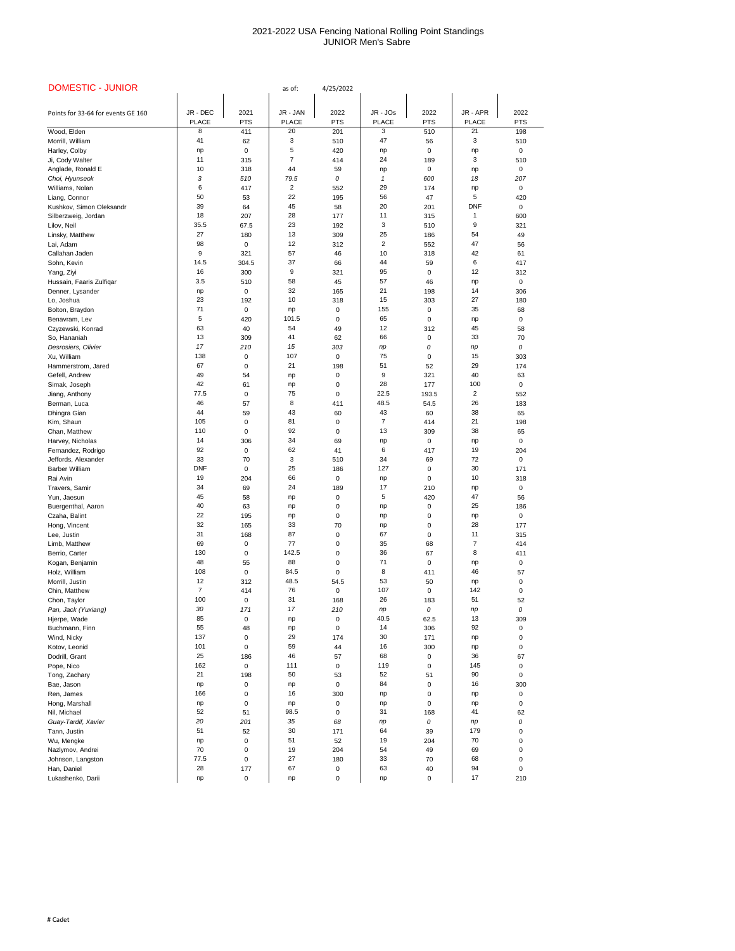| <b>DOMESTIC - JUNIOR</b>            |                |             | as of:         | 4/25/2022  |                |             |                |            |
|-------------------------------------|----------------|-------------|----------------|------------|----------------|-------------|----------------|------------|
|                                     |                |             |                |            |                |             |                |            |
| Points for 33-64 for events GE 160  | JR - DEC       | 2021        | JR - JAN       | 2022       | JR - JOs       | 2022        | JR - APR       | 2022       |
|                                     | <b>PLACE</b>   | <b>PTS</b>  | <b>PLACE</b>   | <b>PTS</b> | <b>PLACE</b>   | <b>PTS</b>  | <b>PLACE</b>   | <b>PTS</b> |
| Wood, Elden                         | 8              | 411         | 20             | 201        | 3              | 510         | 21             | 198        |
| Morrill, William                    | 41             | 62          | $\sqrt{3}$     | 510        | 47             | 56          | 3              | 510        |
| Harley, Colby                       | np             | 0           | 5              | 420        | np             | 0           | np             | 0          |
| Ji, Cody Walter                     | 11             | 315         | $\overline{7}$ | 414        | 24             | 189         | 3              | 510        |
| Anglade, Ronald E                   | 10             | 318         | 44             | 59         | np             | $\mathbf 0$ | np             | 0          |
| Choi, Hyunseok                      | 3              | 510         | 79.5           | 0          |                | 600         | 18             | 207        |
| Williams, Nolan                     | 6              | 417         | $\overline{2}$ | 552        | 29             | 174         | np             | 0          |
| Liang, Connor                       | 50             | 53          | 22             | 195        | 56             | 47          | 5              | 420        |
| Kushkov, Simon Oleksandr            | 39             | 64          | 45             | 58         | 20             | 201         | <b>DNF</b>     | 0          |
| Silberzweig, Jordan                 | 18             | 207         | 28             | 177        | 11             | 315         | 1              | 600        |
| Lilov, Neil                         | 35.5           | 67.5        | 23             | 192        | 3              | 510         | 9              | 321        |
| Linsky, Matthew                     | 27             | 180         | 13             | 309        | 25             | 186         | 54             | 49         |
| Lai, Adam                           | 98             | 0           | 12             | 312        | $\overline{c}$ | 552         | 47             | 56         |
| Callahan Jaden                      | 9              | 321         | 57             | 46         | 10             | 318         | 42             | 61         |
| Sohn, Kevin                         | 14.5           | 304.5       | 37             | 66         | 44             | 59          | 6              | 417        |
| Yang, Ziyi                          | 16             | 300         | 9              | 321        | 95             | 0           | 12             | 312        |
| Hussain, Faaris Zulfiqar            | 3.5            | 510         | 58             | 45         | 57             | 46          | np             | 0          |
| Denner, Lysander                    | np             | 0           | 32             | 165        | 21             | 198         | 14             | 306        |
| Lo, Joshua                          | 23             | 192         | 10             | 318        | 15             | 303         | 27             | 180        |
| Bolton, Braydon                     | 71             | $\mathbf 0$ | np             | 0          | 155            | 0           | 35             | 68         |
| Benavram, Lev                       | 5              | 420         | 101.5          | 0          | 65             | 0           | np             | $\Omega$   |
| Czyzewski, Konrad                   | 63             | 40          | 54             | 49         | 12             | 312         | 45             | 58         |
| So, Hananiah                        | 13             | 309         | 41             | 62         | 66             | 0           | 33             | 70         |
| Desrosiers, Olivier                 | 17             | 210         | 15             | 303        | np             | 0           | np             | 0          |
| Xu, William                         | 138            | $\mathbf 0$ | 107            | $\pmb{0}$  | 75             | $\mathbf 0$ | 15             | 303        |
| Hammerstrom, Jared                  | 67             | $\mathbf 0$ | 21             | 198        | 51             | 52          | 29             | 174        |
| Gefell, Andrew                      | 49             | 54          | np             | $\pmb{0}$  | 9              | 321         | 40             | 63         |
| Simak, Joseph                       | 42             | 61          | np             | 0          | 28             | 177         | 100            | 0          |
| Jiang, Anthony                      | 77.5           | $\mathbf 0$ | 75             | 0          | 22.5           | 193.5       | $\overline{c}$ | 552        |
| Berman, Luca                        | 46             | 57          | 8              | 411        | 48.5           | 54.5        | 26             | 183        |
| Dhingra Gian                        | 44             | 59          | 43             | 60         | 43             | 60          | 38             | 65         |
| Kim, Shaun                          | 105            | 0           | 81             | 0          | $\overline{7}$ | 414         | 21             | 198        |
| Chan, Matthew                       | 110            | 0           | 92             | 0          | 13             | 309         | 38             | 65         |
| Harvey, Nicholas                    | 14             | 306         | 34             | 69         | np             | $\mathbf 0$ | np             | 0          |
| Fernandez, Rodrigo                  | 92             | $\mathbf 0$ | 62             | 41         | 6              | 417         | 19             | 204        |
| Jeffords, Alexander                 | 33             | $70\,$      | 3              | 510        | 34             | 69          | 72             | 0          |
| <b>Barber William</b>               | <b>DNF</b>     | 0           | 25             | 186        | 127            | $\mathbf 0$ | 30             | 171        |
| Rai Avin                            | 19             | 204         | 66             | 0          | np             | 0           | 10             | 318        |
| Travers, Samir                      | 34             | 69          | 24             | 189        | 17             | 210         | np             | 0          |
| Yun, Jaesun                         | 45             | 58          | np             | 0          | 5              | 420         | 47             | 56         |
| Buergenthal, Aaron                  | 40             | 63          | np             | 0          | np             | 0           | 25             | 186        |
| Czaha, Balint                       | 22             | 195         | np             | 0          | np             | 0           | np             | 0          |
| Hong, Vincent                       | 32             | 165         | 33             | 70         | np             | 0           | 28             | 177        |
| Lee, Justin                         | 31             | 168         | 87             | 0          | 67             | 0           | 11             | 315        |
| Limb, Matthew                       | 69             | $\mathbf 0$ | 77             | 0          | 35             | 68          | 7              | 414        |
| Berrio, Carter                      | 130            | 0           | 142.5          | 0          | 36             | 67          | 8              | 411        |
| Kogan, Benjamin                     | 48             | 55          | 88             | 0          | 71             | $\mathbf 0$ | np             | 0          |
| Holz, William                       | 108            | 0           | 84.5           | $\Omega$   | 8              | 411         | 46             | 57         |
| Morrill, Justin                     | 12             | 312         | 48.5           | 54.5       | 53             | 50          | np             | 0          |
| Chin, Matthew                       | $\overline{7}$ | 414         | 76             | 0          | 107            | 0           | 142            | 0          |
| Chon, Taylor                        | 100            | $\mathbf 0$ | 31             | 168        | 26             | 183         | 51             | 52         |
| Pan, Jack (Yuxiang)                 | 30             | 171         | 17             | 210        | np             | 0           | np             | 0          |
| Hjerpe, Wade                        | 85             | $\mathbf 0$ | np             | 0          | 40.5           | 62.5        | 13             | 309        |
| Buchmann, Finn                      | 55             | 48          | np             | 0          | 14             | 306         | 92             | 0          |
| Wind, Nicky                         | 137            | 0           | 29             | 174        | 30             | 171         | np             | 0          |
| Kotov, Leonid                       | 101<br>25      | 0           | 59<br>46       | 44         | 16             | 300         | np<br>36       | 0          |
| Dodrill, Grant                      |                | 186         |                | 57         | 68             | 0           |                | 67         |
| Pope, Nico                          | 162<br>21      | $\pmb{0}$   | 111<br>50      | $\pmb{0}$  | 119<br>52      | $\pmb{0}$   | 145<br>90      | 0          |
| Tong, Zachary                       |                | 198<br>0    |                | 53<br>0    | 84             | 51<br>0     | 16             | 0<br>300   |
| Bae, Jason                          | np<br>166      | 0           | np<br>16       | 300        |                | 0           |                |            |
| Ren, James                          |                |             |                |            | np             |             | np             | 0          |
| Hong, Marshall                      | np<br>52       | 0           | np<br>98.5     | 0          | np<br>31       | 0           | np<br>41       | 0          |
| Nil, Michael<br>Guay-Tardif, Xavier | 20             | 51<br>201   | 35             | 0<br>68    |                | 168<br>0    |                | 62<br>0    |
| Tann, Justin                        | 51             | 52          | 30             | 171        | np<br>64       | 39          | np<br>179      |            |
| Wu, Mengke                          | np             | 0           | 51             | 52         | 19             | 204         | 70             |            |
| Nazlymov, Andrei                    | 70             | 0           | 19             | 204        | 54             | 49          | 69             |            |
| Johnson, Langston                   | 77.5           | 0           | 27             | 180        | 33             | 70          | 68             |            |
| Han, Daniel                         | 28             | 177         | 67             | 0          | 63             | 40          | 94             | 0          |
| Lukashenko, Darii                   | np             | $\mathbf 0$ | np             | 0          | np             | 0           | 17             | 210        |
|                                     |                |             |                |            |                |             |                |            |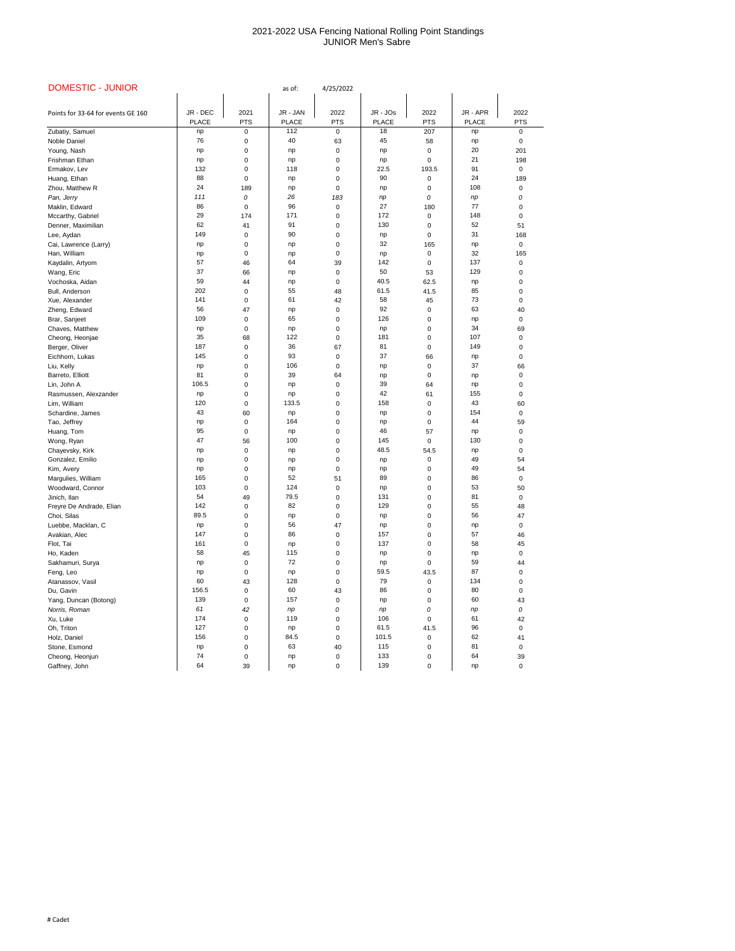| <b>DOMESTIC - JUNIOR</b>               |              |            | as of:       | 4/25/2022  |              |             |              |            |
|----------------------------------------|--------------|------------|--------------|------------|--------------|-------------|--------------|------------|
|                                        |              |            |              |            |              |             |              |            |
| Points for 33-64 for events GE 160     | JR - DEC     | 2021       | JR - JAN     | 2022       | JR - JOs     | 2022        | JR - APR     | 2022       |
|                                        | <b>PLACE</b> | <b>PTS</b> | <b>PLACE</b> | <b>PTS</b> | <b>PLACE</b> | <b>PTS</b>  | <b>PLACE</b> | <b>PTS</b> |
| Zubatiy, Samuel                        | np           | 0          | 112          | 0          | 18           | 207         | np           | 0          |
| Noble Daniel                           | 76           | 0          | 40           | 63         | 45           | 58          | np           | 0          |
| Young, Nash                            | np           | 0          | np           | $\Omega$   | np           | 0           | 20           | 201        |
| Frishman Ethan                         | np           | 0          | np           | 0          | np           | $\mathbf 0$ | 21           | 198        |
| Ermakov, Lev                           | 132          | $\Omega$   | 118          | 0          | 22.5         | 193.5       | 91           | 0          |
| Huang, Ethan                           | 88           | $\Omega$   | np           | 0          | 90           | $\mathbf 0$ | 24           | 189        |
| Zhou, Matthew R                        | 24           | 189        | np           | 0          | np           | 0           | 108          | 0          |
| Pan, Jerry                             | 111          | 0          | 26           | 183        | np           | 0           | np           | 0          |
| Maklin, Edward                         | 86           | 0          | 96           | 0          | 27           | 180         | 77           | 0          |
| Mccarthy, Gabriel                      | 29           | 174        | 171          | 0          | 172          | 0           | 148          | 0          |
| Denner, Maximilian                     | 62           | 41         | 91           | 0          | 130          | 0           | 52           | 51         |
| Lee, Aydan                             | 149          | 0          | 90           | 0          | np           | 0           | 31           | 168        |
| Cai, Lawrence (Larry)                  | np           | 0          | np           | 0          | 32           | 165         | np           | 0          |
| Han, William                           | np           | 0          | np           | 0          | np           | 0           | 32           | 165        |
| Kaydalin, Artyom                       | 57           | 46         | 64           | 39         | 142          | 0           | 137          | 0          |
| Wang, Eric                             | 37           | 66         | np           | 0          | 50           | 53          | 129          | 0          |
| Vochoska, Aidan                        | 59           | 44         | np           | 0          | 40.5         | 62.5        | np           | 0          |
| Bull, Anderson                         | 202          | 0          | 55           | 48         | 61.5         | 41.5        | 85           | 0          |
| Xue, Alexander                         | 141          | 0          | 61           | 42         | 58           | 45          | 73           | 0          |
| Zheng, Edward                          | 56           | 47         | np           | 0          | 92           | 0           | 63           | 40         |
| Brar, Sanjeet                          | 109          | 0          | 65           | 0          | 126          | 0           | np           | 0          |
| Chaves, Matthew                        | np           | 0          | np           | 0          | np           | 0           | 34           | 69         |
| Cheong, Heonjae                        | 35           | 68         | 122          | 0          | 181          | 0           | 107          | 0          |
| Berger, Oliver                         | 187          | 0          | 36           | 67         | 81           | $\mathbf 0$ | 149          | 0          |
| Eichhorn, Lukas                        | 145          | 0          | 93           | 0          | 37           | 66          | np           | 0          |
| Liu, Kelly                             | np           | 0          | 106          | $\pmb{0}$  | np           | $\pmb{0}$   | 37           | 66         |
| Barreto, Elliott                       | 81           | 0          | 39           | 64         | np           | 0           | np           |            |
| Lin, John A                            | 106.5        | 0          | np           | 0          | 39           | 64          | np           | ი          |
| Rasmussen, Alexzander                  | np           | 0          | np           | 0          | 42           | 61          | 155          | 0          |
| Lim, William                           | 120          | 0          | 133.5        | 0          | 158          | 0           | 43           | 60         |
| Schardine, James                       | 43           | 60         | np           | 0          | np           | 0           | 154          | 0          |
| Tao, Jeffrey                           | np           | 0          | 164          | 0          | np           | 0           | 44           | 59         |
| Huang, Tom                             | 95           | 0          | np           | 0          | 46           | 57          | np           | 0          |
| Wong, Ryan                             | 47           | 56         | 100          | 0          | 145          | $\mathbf 0$ | 130          | 0          |
| Chayevsky, Kirk                        | np           | 0          | np           | 0          | 48.5         | 54.5        | np           | 0          |
| Gonzalez, Emilio                       | np           | 0          | np           | 0          | np           | 0           | 49           | 54         |
| Kim, Avery                             | np           | 0          | np           | 0          | np           | 0           | 49           | 54         |
| Margulies, William                     | 165          | 0          | 52           | 51         | 89           | 0           | 86           | 0          |
| Woodward, Connor                       | 103          | 0          | 124          | 0          | np           | 0           | 53           | 50         |
| Jinich, Ilan                           | 54           | 49         | 79.5         | 0          | 131          | 0           | 81           | 0          |
| Freyre De Andrade, Elian               | 142          | 0          | 82           | 0          | 129          | 0           | 55           | 48         |
| Choi, Silas                            | 89.5         | 0          | np           | 0          | np           | 0           | 56           | 47         |
| Luebbe, Macklan, C                     | np           | 0          | 56           | 47         | np           | 0           | np           | 0          |
| Avakian, Alec                          | 147          | 0          | 86           | 0          | 157          | 0           | 57           | 46         |
| Flot, Tai                              | 161<br>58    | 0          | np<br>115    | 0          | 137          | 0           | 58           | 45         |
| Ho, Kaden                              |              | 45         | 72           | 0          | np           | 0           | np<br>59     | 0          |
| Sakhamuri, Surya                       | np           | 0          |              | 0          | np<br>59.5   | 0           | 87           | 44         |
| Feng, Leo                              | np<br>60     | 0          | np<br>128    | 0          | 79           | 43.5        | 134          | 0          |
| Atanassov, Vasil<br>Du, Gavin          | 156.5        | 43<br>0    | 60           | 0<br>43    | 86           | 0           | 80           | 0<br>0     |
|                                        | 139          |            | 157          | 0          |              | 0           | 60           | 43         |
| Yang, Duncan (Botong)<br>Norris, Roman | 61           | 0<br>42    |              | 0          | np           | 0<br>0      |              | 0          |
| Xu, Luke                               | 174          | 0          | np<br>119    | 0          | np<br>106    | 0           | np<br>61     | 42         |
| Oh, Triton                             | 127          | 0          | np           | 0          | 61.5         | 41.5        | 96           | 0          |
| Holz, Daniel                           | 156          | $\Omega$   | 84.5         | 0          | 101.5        | $\mathbf 0$ | 62           | 41         |
| Stone, Esmond                          | np           | 0          | 63           | 40         | 115          | 0           | 81           | 0          |
| Cheong, Heonjun                        | 74           | 0          | np           | 0          | 133          | $\mathbf 0$ | 64           | 39         |
| Gaffney, John                          | 64           | 39         | np           | $\pmb{0}$  | 139          | 0           | np           | 0          |
|                                        |              |            |              |            |              |             |              |            |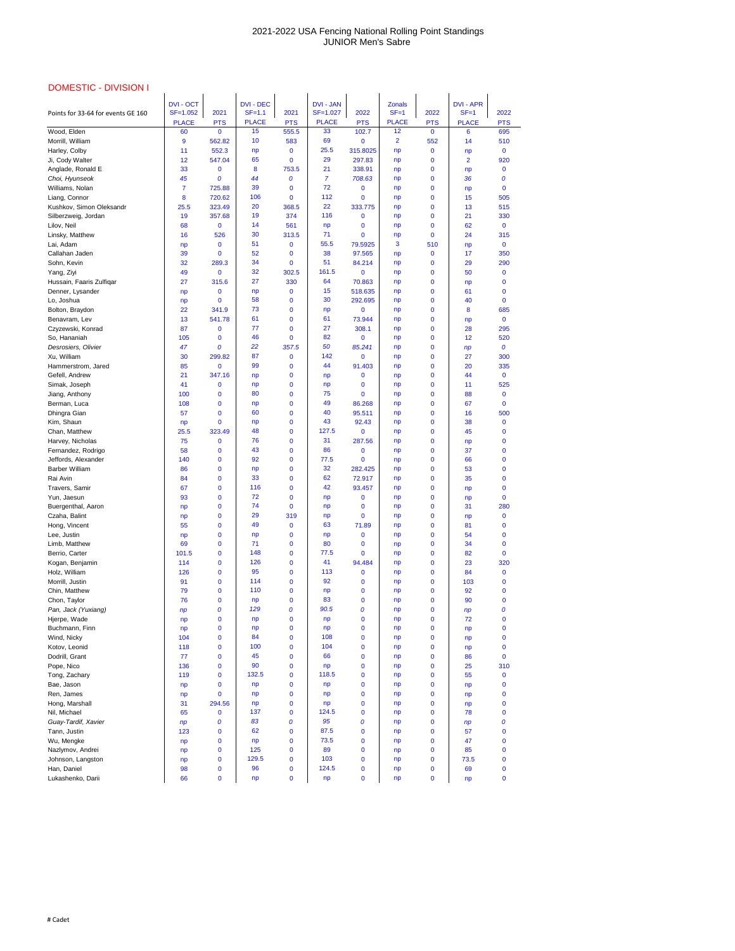| <b>DOMESTIC - DIVISION I</b>           |                     |                           |                          |                         |                          |                          |                          |                        |                   |                          |
|----------------------------------------|---------------------|---------------------------|--------------------------|-------------------------|--------------------------|--------------------------|--------------------------|------------------------|-------------------|--------------------------|
|                                        | <b>DVI - OCT</b>    |                           | <b>DVI - DEC</b>         |                         | <b>DVI - JAN</b>         |                          | <b>Zonals</b>            |                        | <b>DVI - APR</b>  |                          |
| Points for 33-64 for events GE 160     | $SF = 1.052$        | 2021                      | $SF=1.1$<br><b>PLACE</b> | 2021                    | SF=1.027<br><b>PLACE</b> | 2022                     | $SF = 1$<br><b>PLACE</b> | 2022                   | $SF = 1$          | 2022                     |
| Wood, Elden                            | <b>PLACE</b><br>60  | <b>PTS</b><br>$\mathbf 0$ | 15                       | <b>PTS</b><br>555.5     | 33                       | <b>PTS</b><br>102.7      | 12                       | <b>PTS</b><br>$\bf{0}$ | <b>PLACE</b><br>6 | <b>PTS</b><br>695        |
| Morrill, William                       | $\boldsymbol{9}$    | 562.82                    | 10                       | 583                     | 69                       | $\mathbf 0$              | $\overline{2}$           | 552                    | 14                | 510                      |
| Harley, Colby                          | 11                  | 552.3                     | np                       | $\bf{0}$                | 25.5                     | 315.8025                 | np                       | $\bf{0}$               | np                | $\mathbf 0$              |
| Ji, Cody Walter                        | 12                  | 547.04                    | 65                       | $\bf{0}$                | 29                       | 297.83                   | np                       | $\bf{0}$               | $\overline{2}$    | 920                      |
| Anglade, Ronald E                      | 33                  | 0                         | 8                        | 753.5                   | 21                       | 338.91                   | np                       | $\bf{0}$               | np                | $\bf{0}$                 |
| Choi, Hyunseok                         | 45                  | 0                         | 44<br>39                 | $\boldsymbol{0}$        | $\overline{7}$<br>72     | 708.63                   | np                       | $\bf{0}$               | 36                | 0                        |
| Williams, Nolan<br>Liang, Connor       | $\overline{7}$<br>8 | 725.88<br>720.62          | 106                      | $\bf{0}$<br>$\mathbf 0$ | 112                      | $\bf{0}$<br>$\mathbf 0$  | np<br>np                 | $\bf{0}$<br>$\bf{0}$   | np<br>15          | $\mathbf 0$<br>505       |
| Kushkov, Simon Oleksandr               | 25.5                | 323.49                    | 20                       | 368.5                   | 22                       | 333.775                  | np                       | $\bf{0}$               | 13                | 515                      |
| Silberzweig, Jordan                    | 19                  | 357.68                    | 19                       | 374                     | 116                      | 0                        | np                       | $\bf{0}$               | 21                | 330                      |
| Lilov, Neil                            | 68                  | $\mathbf 0$               | 14                       | 561                     | np                       | $\mathbf{0}$             | np                       | $\bf{0}$               | 62                | $\mathbf 0$              |
| Linsky, Matthew                        | 16                  | 526                       | 30                       | 313.5                   | 71                       | $\mathbf{0}$             | np                       | $\bf{0}$               | 24                | 315                      |
| Lai, Adam                              | np                  | $\mathbf 0$               | 51                       | $\bf{0}$                | 55.5                     | 79.5925                  | 3                        | 510                    | np                | $\mathbf 0$              |
| Callahan Jaden                         | 39                  | $\mathbf 0$               | 52                       | $\bf{0}$                | 38                       | 97.565                   | np                       | $\bf{0}$               | 17                | 350                      |
| Sohn, Kevin                            | 32                  | 289.3                     | 34<br>32                 | $\mathbf{0}$            | 51<br>161.5              | 84.214                   | np                       | $\bf{0}$               | 29                | 290                      |
| Yang, Ziyi<br>Hussain, Faaris Zulfiqar | 49<br>27            | $\bf{0}$<br>315.6         | 27                       | 302.5<br>330            | 64                       | $\bf{0}$<br>70.863       | np<br>np                 | $\bf{0}$<br>$\bf{0}$   | 50<br>np          | $\mathbf{0}$<br>$\bf{0}$ |
| Denner, Lysander                       | np                  | 0                         | np                       | $\bf{0}$                | 15                       | 518.635                  | np                       | $\bf{0}$               | 61                | $\mathbf{0}$             |
| Lo, Joshua                             | np                  | $\mathbf 0$               | 58                       | $\bf{0}$                | 30                       | 292.695                  | np                       | $\bf{0}$               | 40                | $\mathbf{0}$             |
| Bolton, Braydon                        | 22                  | 341.9                     | 73                       | $\bf{0}$                | np                       | $\mathbf{0}$             | np                       | $\bf{0}$               | 8                 | 685                      |
| Benavram, Lev                          | 13                  | 541.78                    | 61                       | $\bf{0}$                | 61                       | 73.944                   | np                       | $\bf{0}$               | np                | $\mathbf{0}$             |
| Czyzewski, Konrad                      | 87                  | $\bf{0}$                  | 77                       | $\bf{0}$                | 27                       | 308.1                    | np                       | $\bf{0}$               | 28                | 295                      |
| So, Hananiah                           | 105                 | $\mathbf 0$               | 46                       | $\mathbf{0}$            | 82                       | $\bf{0}$                 | np                       | $\bf{0}$               | 12                | 520                      |
| Desrosiers, Olivier<br>Xu, William     | 47<br>30            | 0<br>299.82               | 22<br>87                 | 357.5<br>$\bf{0}$       | 50<br>142                | 85.241<br>$\bf{0}$       | np                       | $\bf{0}$<br>$\bf{0}$   | np<br>27          | $\boldsymbol{o}$<br>300  |
| Hammerstrom, Jared                     | 85                  | $\bf{0}$                  | 99                       | $\bf{0}$                | 44                       | 91.403                   | np<br>np                 | $\bf{0}$               | 20                | 335                      |
| Gefell, Andrew                         | 21                  | 347.16                    | np                       | $\mathbf 0$             | np                       | $\bf{0}$                 | np                       | $\bf{0}$               | 44                | $\mathbf{0}$             |
| Simak, Joseph                          | 41                  | $\bf{0}$                  | np                       | $\bf{0}$                | np                       | $\mathbf{0}$             | np                       | $\bf{0}$               | 11                | 525                      |
| Jiang, Anthony                         | 100                 | 0                         | 80                       | $\bf{0}$                | 75                       | $\Omega$                 | np                       | $\bf{0}$               | 88                | $\mathbf 0$              |
| Berman, Luca                           | 108                 | $\bf{0}$                  | np                       | $\bf{0}$                | 49                       | 86.268                   | np                       | $\bf{0}$               | 67                | $\mathbf{0}$             |
| Dhingra Gian                           | 57                  | $\mathbf 0$               | 60                       | $\bf{0}$                | 40                       | 95.511                   | np                       | $\bf{0}$               | 16                | 500                      |
| Kim, Shaun                             | np                  | $\bf{0}$                  | np                       | $\mathbf 0$             | 43<br>127.5              | 92.43                    | np                       | $\bf{0}$               | 38                | 0                        |
| Chan, Matthew<br>Harvey, Nicholas      | 25.5<br>75          | 323.49<br>$\bf{0}$        | 48<br>76                 | $\bf{0}$<br>0           | 31                       | $\mathbf 0$<br>287.56    | np<br>np                 | $\bf{0}$<br>$\bf{0}$   | 45                | $\bf{0}$<br>$\mathbf 0$  |
| Fernandez, Rodrigo                     | 58                  | 0                         | 43                       | $\bf{0}$                | 86                       | $\mathbf{0}$             | np                       | $\bf{0}$               | np<br>37          | $\mathbf{0}$             |
| Jeffords, Alexander                    | 140                 | 0                         | 92                       | $\bf{0}$                | 77.5                     | $\mathbf{0}$             | np                       | $\bf{0}$               | 66                | $\mathbf{0}$             |
| <b>Barber William</b>                  | 86                  | $\mathbf{0}$              | np                       | $\bf{0}$                | 32                       | 282.425                  | np                       | $\bf{0}$               | 53                | $\bf{0}$                 |
| Rai Avin                               | 84                  | $\mathbf{0}$              | 33                       | $\bf{0}$                | 62                       | 72.917                   | np                       | $\bf{0}$               | 35                | $\mathbf{0}$             |
| Travers, Samir                         | 67                  | $\mathbf 0$               | 116                      | 0                       | 42                       | 93.457                   | np                       | $\bf{0}$               | np                | 0                        |
| Yun, Jaesun                            | 93                  | $\bf{0}$                  | 72<br>74                 | $\bf{0}$                | np                       | 0                        | np                       | $\bf{0}$               | np                | $\mathbf{0}$             |
| Buergenthal, Aaron<br>Czaha, Balint    | np<br>np            | 0<br>$\mathbf{0}$         | 29                       | $\mathbf 0$<br>319      | np<br>np                 | 0<br>$\mathbf{0}$        | np<br>np                 | $\bf{0}$<br>$\bf{0}$   | 31                | 280<br>$\bf{0}$          |
| Hong, Vincent                          | 55                  | $\mathbf{0}$              | 49                       | $\bf{0}$                | 63                       | 71.89                    | np                       | $\bf{0}$               | np<br>81          | $\bf{0}$                 |
| Lee, Justin                            | np                  | 0                         | np                       | $\bf{0}$                | np                       | 0                        | np                       | $\bf{0}$               | 54                | 0                        |
| Limb, Matthew                          | 69                  | 0                         | 71                       | $\bf{0}$                | 80                       | $\mathbf{0}$             | np                       | $\bf{0}$               | 34                | $\mathbf{0}$             |
| Berrio, Carter                         | 101.5               | $\bf{0}$                  | 148                      | $\bf{0}$                | 77.5                     | $\mathbf{0}$             | np                       | $\bf{0}$               | 82                | $\mathbf{0}$             |
| Kogan, Benjamin                        | 114                 | $\mathbf{0}$              | 126                      | $\bf{0}$                | 41                       | 94.484                   | np                       | $\bf{0}$               | 23                | 320                      |
| Holz, William                          | 126                 | $\mathbf{0}$              | 95<br>114                | $\bf{0}$                | 113<br>92                | 0                        | np                       | $\bf{0}$               | 84                | $\bf{0}$                 |
| Morrill, Justin<br>Chin, Matthew       | 91<br>79            | $\mathbf 0$<br>0          | 110                      | $\bf{0}$<br>$\bf{0}$    | np                       | 0<br>0                   | np<br>np                 | $\bf{0}$<br>$\bf{0}$   | 103<br>92         | 0<br>$\mathbf{0}$        |
| Chon, Taylor                           | 76                  | $\bf{0}$                  | np                       | $\bf{0}$                | 83                       | $\bf{0}$                 | np                       | $\bf{0}$               | 90                | $\mathbf{0}$             |
| Pan, Jack (Yuxiang)                    | np                  | 0                         | 129                      | 0                       | 90.5                     | 0                        | np                       | $\bf{0}$               | np                | 0                        |
| Hjerpe, Wade                           | np                  | 0                         | np                       | $\bf{0}$                | np                       | $\bf{0}$                 | np                       | $\bf{0}$               | 72                | $\bf{0}$                 |
| Buchmann, Finn                         | np                  | 0                         | np                       | $\bf{0}$                | np                       | 0                        | np                       | $\bf{0}$               | np                | 0                        |
| Wind, Nicky                            | 104                 | $\mathbf{0}$              | 84                       | $\bf{0}$                | 108                      | 0                        | np                       | $\bf{0}$               | np                | $\mathbf{0}$             |
| Kotov, Leonid<br>Dodrill, Grant        | 118<br>77           | 0<br>$\bf{0}$             | 100<br>45                | 0<br>0                  | 104<br>66                | $\bf{0}$<br>$\mathbf 0$  | np                       | $\bf{0}$<br>$\bf{0}$   | np<br>86          | 0<br>$\mathbf 0$         |
| Pope, Nico                             | 136                 | 0                         | 90                       | $\bf{0}$                | np                       | $\bf{0}$                 | np<br>np                 | $\bf{0}$               | 25                | 310                      |
| Tong, Zachary                          | 119                 | $\mathbf 0$               | 132.5                    | $\bf{0}$                | 118.5                    | $\bf{0}$                 | np                       | $\bf{0}$               | 55                | $\bf{0}$                 |
| Bae, Jason                             | np                  | $\mathbf 0$               | np                       | $\bf{0}$                | np                       | $\bf{0}$                 | np                       | $\bf{0}$               | np                | $\bf{0}$                 |
| Ren, James                             | np                  | $\mathbf 0$               | np                       | $\bf{0}$                | np                       | $\bf{0}$                 | np                       | $\bf{0}$               | np                | $\mathbf{0}$             |
| Hong, Marshall                         | 31                  | 294.56                    | np                       | $\bf{0}$                | np                       | $\mathbf{0}$             | np                       | $\bf{0}$               | np                | $\mathbf{0}$             |
| Nil, Michael                           | 65                  | $\mathbf 0$               | 137                      | $\bf{0}$                | 124.5                    | $\bf{0}$                 | np                       | $\bf{0}$               | 78                | $\mathbf{0}$             |
| Guay-Tardif, Xavier                    | np                  | 0                         | 83                       | $\boldsymbol{0}$        | 95<br>87.5               | 0                        | np                       | $\bf{0}$               | np                | 0                        |
| Tann, Justin<br>Wu, Mengke             | 123                 | 0<br>$\mathbf 0$          | 62<br>np                 | $\bf{0}$<br>$\bf{0}$    | 73.5                     | $\mathbf{0}$<br>$\bf{0}$ | np<br>np                 | $\bf{0}$<br>$\bf{0}$   | 57<br>47          | $\bf{0}$<br>$\bf{0}$     |
| Nazlymov, Andrei                       | np<br>np            | $\mathbf 0$               | 125                      | $\bf{0}$                | 89                       | $\mathbf{0}$             | np                       | $\bf{0}$               | 85                | $\mathbf{0}$             |
| Johnson, Langston                      | np                  | $\mathbf 0$               | 129.5                    | $\bf{0}$                | 103                      | $\mathbf 0$              | np                       | $\bf{0}$               | 73.5              | $\mathbf{0}$             |
| Han, Daniel                            | 98                  | $\mathbf 0$               | 96                       | $\bf{0}$                | 124.5                    | $\bf{0}$                 | np                       | $\bf{0}$               | 69                | $\mathbf{0}$             |
| Lukashenko, Darii                      | 66                  | $\mathbf 0$               | np                       | $\mathbf 0$             | np                       | $\bf{0}$                 | np                       | $\bf{0}$               | np                | 0                        |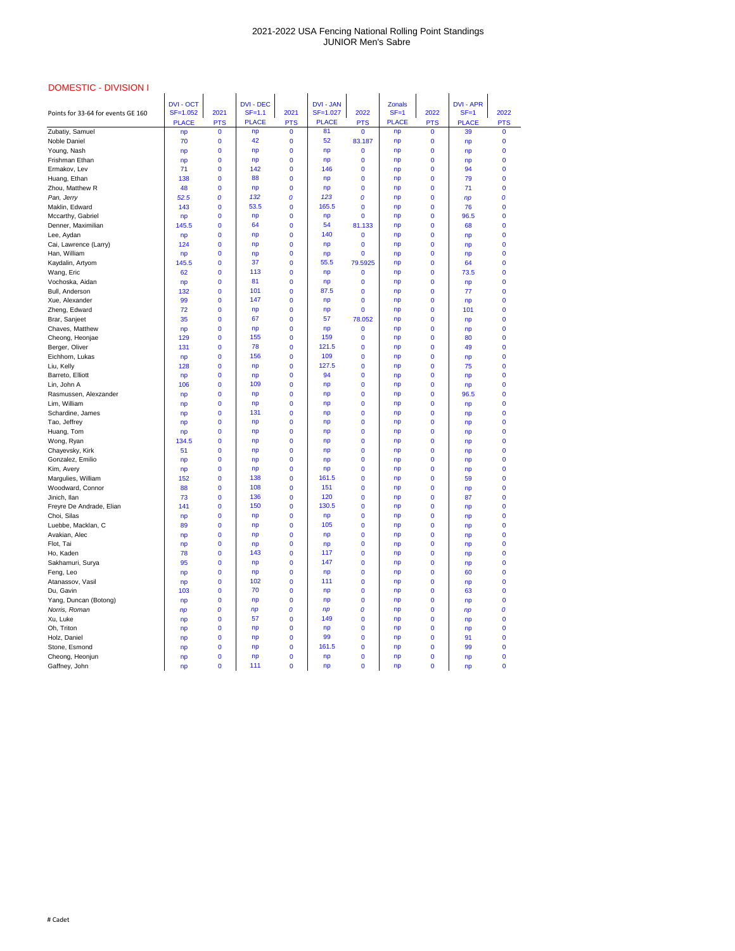| <b>DOMESTIC - DIVISION I</b>       |                  |              |                  |              |                  |              |               |              |                  |              |
|------------------------------------|------------------|--------------|------------------|--------------|------------------|--------------|---------------|--------------|------------------|--------------|
|                                    | <b>DVI - OCT</b> |              | <b>DVI - DEC</b> |              | <b>DVI - JAN</b> |              | <b>Zonals</b> |              | <b>DVI - APR</b> |              |
| Points for 33-64 for events GE 160 | $SF = 1.052$     | 2021         | $SF=1.1$         | 2021         | SF=1.027         | 2022         | $SF = 1$      | 2022         | $SF = 1$         | 2022         |
|                                    | <b>PLACE</b>     | <b>PTS</b>   | <b>PLACE</b>     | <b>PTS</b>   | <b>PLACE</b>     | <b>PTS</b>   | <b>PLACE</b>  | <b>PTS</b>   | <b>PLACE</b>     | <b>PTS</b>   |
| Zubatiy, Samuel                    | np               | $\mathbf{0}$ | np               | $\mathbf{0}$ | 81               | $\bf{0}$     | np            | $\mathbf{0}$ | 39               | $\mathbf{0}$ |
| Noble Daniel                       | 70               | $\bf{0}$     | 42               | 0            | 52               | 83.187       | np            | 0            | np               | $\mathbf 0$  |
| Young, Nash                        | np               | $\bf{0}$     | np               | 0            | np               | $\bf{0}$     | np            | 0            | np               | $\mathbf 0$  |
| Frishman Ethan                     | np               | $\bf{0}$     | np               | $\bf{0}$     | np               | $\bf{0}$     | np            | $\bf{0}$     | np               | $\mathbf 0$  |
| Ermakov, Lev                       | 71               | $\mathbf 0$  | 142              | $\bf{0}$     | 146              | $\bf{0}$     | np            | 0            | 94               | $\mathbf 0$  |
| Huang, Ethan                       | 138              | $\mathbf 0$  | 88               | $\mathbf{0}$ | np               | $\bf{0}$     | np            | $\bf{0}$     | 79               | $\mathbf 0$  |
| Zhou, Matthew R                    | 48               | $\bf{0}$     | np               | $\bf{0}$     | np               | $\bf{0}$     | np            | $\bf{0}$     | 71               | $\bf{0}$     |
| Pan, Jerry                         | 52.5             | 0            | 132              | 0            | 123              | 0            | np            | 0            | np               | 0            |
| Maklin, Edward                     | 143              | $\mathbf 0$  | 53.5             | $\mathbf{0}$ | 165.5            | $\bf{0}$     | np            | 0            | 76               | $\bf{0}$     |
| Mccarthy, Gabriel                  | np               | $\mathbf{0}$ | np               | 0            | np               | 0            | np            | 0            | 96.5             | $\mathbf 0$  |
| Denner, Maximilian                 | 145.5            | $\mathbf{0}$ | 64               | $\bf{0}$     | 54               | 81.133       | np            | $\bf{0}$     | 68               | $\mathbf 0$  |
| Lee, Aydan                         | np               | $\bf{0}$     | np               | 0            | 140              | $\bf{0}$     | np            | $\bf{0}$     | np               | $\bf{0}$     |
| Cai, Lawrence (Larry)              | 124              | $\mathbf{0}$ | np               | 0            | np               | $\bf{0}$     | np            | 0            | np               | $\mathbf 0$  |
| Han, William                       | np               | $\mathbf 0$  | np               | $\bf{0}$     | np               | $\bf{0}$     | np            | 0            | np               | $\mathbf 0$  |
| Kaydalin, Artyom                   | 145.5            | $\mathbf{0}$ | 37               | $\mathbf 0$  | 55.5             | 79.5925      | np            | 0            | 64               | $\mathbf 0$  |
| Wang, Eric                         | 62               | $\mathbf{0}$ | 113              | $\bf{0}$     | np               | $\bf{0}$     | np            | $\bf{0}$     | 73.5             | $\mathbf 0$  |
| Vochoska, Aidan                    | np               | $\bf{0}$     | 81               | $\bf{0}$     | np               | $\bf{0}$     | np            | $\bf{0}$     | np               | $\bf{0}$     |
| Bull, Anderson                     | 132              | $\mathbf{0}$ | 101              | $\mathbf{0}$ | 87.5             | $\bf{0}$     | np            | $\mathbf{0}$ | 77               | $\mathbf 0$  |
| Xue, Alexander                     | 99               | $\bf{0}$     | 147              | $\bf{0}$     | np               | $\bf{0}$     | np            | 0            | np               | $\mathbf 0$  |
| Zheng, Edward                      | 72               | $\mathbf{0}$ | np               | 0            | np               | 0            | np            | 0            | 101              | $\mathbf 0$  |
| Brar, Sanjeet                      | 35               | $\mathbf{0}$ | 67               | $\bf{0}$     | 57               | 78.052       | np            | $\bf{0}$     | np               | $\mathbf 0$  |
| Chaves, Matthew                    | np               | $\bf{0}$     | np               | $\bf{0}$     | np               | $\bf{0}$     | np            | $\bf{0}$     | np               | $\mathbf 0$  |
| Cheong, Heonjae                    | 129              | $\mathbf{0}$ | 155              | $\mathbf{0}$ | 159              | $\mathbf 0$  | np            | $\mathbf{0}$ | 80               | $\mathbf 0$  |
| Berger, Oliver                     | 131              | $\mathbf 0$  | 78               | 0            | 121.5            | $\mathbf 0$  | np            | 0            | 49               | $\mathbf 0$  |
| Eichhorn, Lukas                    | np               | $\mathbf{0}$ | 156              | 0            | 109              | $\mathbf 0$  | np            | 0            | np               | $\mathbf 0$  |
| Liu, Kelly                         | 128              | $\mathbf 0$  | np               | $\mathbf{0}$ | 127.5            | $\mathbf{0}$ | np            | $\mathbf 0$  | 75               | $\bf{0}$     |
| Barreto, Elliott                   | np               | $\mathbf 0$  | np               | 0            | 94               | $\bf{0}$     | np            | 0            | np               | $\bf{0}$     |
| Lin, John A                        | 106              | $\mathbf{0}$ | 109              | 0            | np               | $\bf{0}$     | np            | 0            | np               | $\bf{0}$     |
| Rasmussen, Alexzander              | np               | $\mathbf 0$  | np               | 0            | np               | $\bf{0}$     | np            | 0            | 96.5             | $\mathbf 0$  |
| Lim, William                       | np               | $\mathbf 0$  | np               | 0            | np               | $\bf{0}$     | np            | 0            | np               | $\mathbf 0$  |
| Schardine, James                   | np               | $\mathbf 0$  | 131              | 0            | np               | $\bf{0}$     | np            | 0            | np               | $\mathbf 0$  |
| Tao, Jeffrey                       | np               | $\mathbf 0$  | np               | 0            | np               | $\bf{0}$     | np            | 0            | np               | 0            |
| Huang, Tom                         | np               | $\mathbf 0$  | np               | 0            | np               | $\bf{0}$     | np            | 0            | np               | $\mathbf 0$  |
| Wong, Ryan                         | 134.5            | $\bf{0}$     | np               | 0            | np               | $\bf{0}$     | np            | 0            | np               | $\bf{0}$     |
| Chayevsky, Kirk                    | 51               | $\mathbf 0$  | np               | 0            | np               | $\bf{0}$     | np            | 0            | np               | $\mathbf 0$  |
| Gonzalez, Emilio                   | np               | $\mathbf 0$  | np               | 0            | np               | $\bf{0}$     | np            | 0            | np               | $\mathbf 0$  |
| Kim, Avery                         | np               | $\mathbf{0}$ | np               | $\mathbf 0$  | np               | $\mathbf 0$  | np            | 0            | np               | 0            |
| Margulies, William                 | 152              | $\mathbf 0$  | 138              | 0            | 161.5            | $\mathbf 0$  | np            | 0            | 59               | $\mathbf 0$  |
| Woodward, Connor                   | 88               | $\bf{0}$     | 108              | 0            | 151              | $\bf{0}$     | np            | 0            | np               | $\bf{0}$     |
| Jinich, Ilan                       | 73               | $\mathbf{0}$ | 136              | 0            | 120              | $\mathbf 0$  | np            | 0            | 87               | $\mathbf 0$  |
| Freyre De Andrade, Elian           | 141              | $\bf{0}$     | 150              | 0            | 130.5            | $\bf{0}$     | np            | 0            | np               | $\mathbf 0$  |
| Choi, Silas                        | np               | $\mathbf 0$  | np               | 0            | np               | $\mathbf 0$  | np            | 0            | np               | 0            |
| Luebbe, Macklan, C                 | 89               | $\mathbf 0$  | np               | 0            | 105              | $\bf{0}$     | np            | 0            | np               | $\mathbf 0$  |
| Avakian, Alec                      | np               | $\mathbf 0$  | np               | 0            | np               | $\bf{0}$     | np            | 0            | np               | $\bf{0}$     |
| Flot, Tai                          | np               | $\mathbf 0$  | np               | 0            | np               | $\bf{0}$     | np            | 0            | np               | $\mathbf 0$  |
| Ho, Kaden                          | 78               | $\bf{0}$     | 143              | 0            | 117              | $\bf{0}$     | np            | 0            | np               | $\mathbf 0$  |
| Sakhamuri, Surya                   | 95               | $\mathbf{0}$ | np               | 0            | 147              | $\mathbf 0$  | np            | 0            | np               | $\mathbf 0$  |
| Feng, Leo                          | np               | $\mathbf 0$  | np               | 0            | np               | $\bf{0}$     | np            | 0            | 60               | $\mathbf 0$  |
| Atanassov, Vasil                   | np               | $\bf{0}$     | 102              | 0            | 111              | $\bf{0}$     | np            | 0            | np               | 0            |
| Du, Gavin                          | 103              | $\bf{0}$     | 70               | 0            | np               | $\bf{0}$     | np            | 0            | 63               | $\mathbf 0$  |
| Yang, Duncan (Botong)              | np               | $\bf{0}$     | np               | 0            | np               | $\bf{0}$     | np            | 0            | np               | $\mathbf 0$  |
| Norris, Roman                      | np               | 0            | np               | 0            | np               | 0            | np            | 0            | np               | 0            |
| Xu, Luke                           | np               | $\bf{0}$     | 57               | $\bf{0}$     | 149              | $\bf{0}$     | np            | 0            | np               | $\mathbf 0$  |
| Oh, Triton                         | np               | $\bf{0}$     | np               | 0            | np               | $\bf{0}$     | np            | 0            | np               | 0            |
| Holz, Daniel                       | np               | $\mathbf 0$  | np               | 0            | 99               | $\bf{0}$     | np            | 0            | 91               | $\mathbf 0$  |
| Stone, Esmond                      | np               | $\bf{0}$     | np               | 0            | 161.5            | $\bf{0}$     | np            | 0            | 99               | $\bf{0}$     |
| Cheong, Heonjun                    | np               | $\mathbf 0$  | np               | 0            | np               | 0            | np            | $\mathbf 0$  | np               | $\bf{0}$     |
| Gaffney, John                      | np               | $\pmb{0}$    | 111              | $\mathbf 0$  | np               | $\pmb{0}$    | np            | $\pmb{0}$    | np               | $\pmb{0}$    |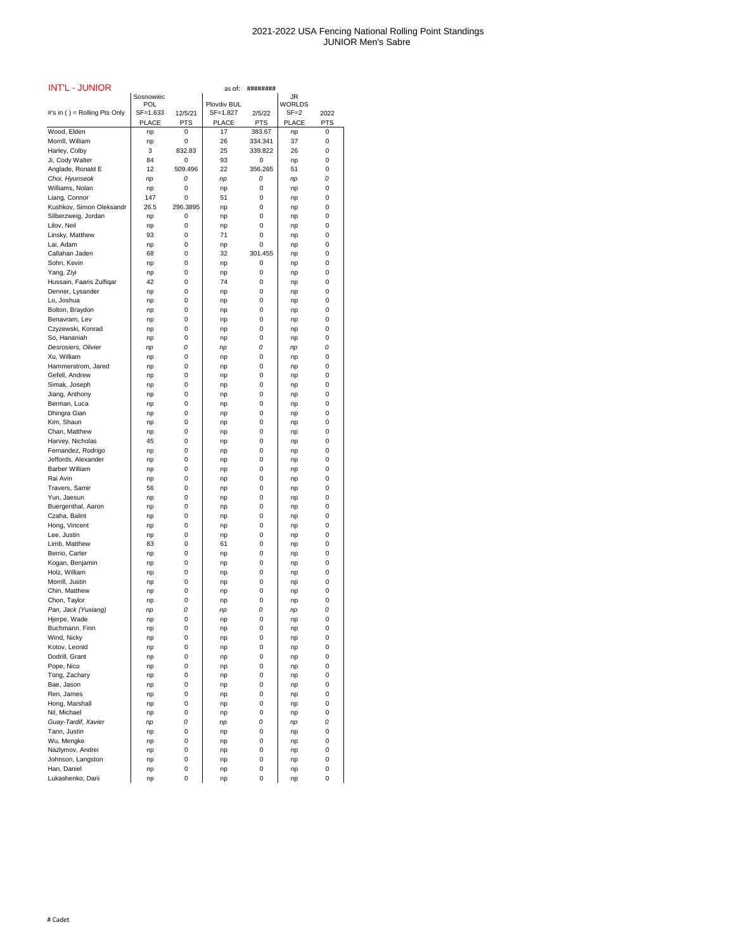| <b>INT'L - JUNIOR</b>                     | Sosnowiec    |               | as of:       | ########   | JR            |            |
|-------------------------------------------|--------------|---------------|--------------|------------|---------------|------------|
|                                           | <b>POL</b>   |               | Plovdiv BUL  |            | <b>WORLDS</b> |            |
| #'s in () = Rolling Pts Only              | SF=1.633     | 12/5/21       | SF=1.827     | 2/5/22     | $SF = 2$      | 2022       |
|                                           | <b>PLACE</b> | <b>PTS</b>    | <b>PLACE</b> | <b>PTS</b> | <b>PLACE</b>  | <b>PTS</b> |
| Wood, Elden                               | np           | 0             | 17           | 383.67     | np            | 0          |
| Morrill, William                          | np           | $\Omega$      | 26           | 334.341    | 37            | 0          |
| Harley, Colby                             | 3            | 832.83        | 25           | 339.822    | 26            | 0          |
| Ji, Cody Walter                           | 84           | 0             | 93           | 0          | np            | $\Omega$   |
| Anglade, Ronald E                         | 12           | 509.496       | 22           | 356.265    | 51            | 0          |
| Choi, Hyunseok                            | np           | 0             | np           | 0          | np            | 0          |
| Williams, Nolan                           | np           | 0             | np           | 0          | np            | 0          |
| Liang, Connor<br>Kushkov, Simon Oleksandr | 147<br>26.5  | 0<br>296.3895 | 51           | 0<br>0     | np            | 0<br>0     |
| Silberzweig, Jordan                       | np           | 0             | np<br>np     | 0          | np<br>np      | 0          |
| Lilov, Neil                               | np           | 0             | np           | 0          | np            | 0          |
| Linsky, Matthew                           | 93           | 0             | 71           | 0          | np            | 0          |
| Lai, Adam                                 | np           | 0             | np           | 0          | np            | 0          |
| Callahan Jaden                            | 68           | 0             | 32           | 301.455    | np            | 0          |
| Sohn, Kevin                               | np           | 0             | np           | 0          | np            | 0          |
| Yang, Ziyi                                | np           | 0             | np           | 0          | np            | 0          |
| Hussain, Faaris Zulfiqar                  | 42           | 0             | 74           | 0          | np            | 0          |
| Denner, Lysander                          | np           | 0             | np           | 0          | np            | 0          |
| Lo, Joshua                                | np           | 0             | np           | 0          | np            | 0          |
| Bolton, Braydon                           | np           | 0             | np           | 0          | np            | 0          |
| Benavram, Lev                             | np           | 0             | np           | 0          | np            | 0          |
| Czyzewski, Konrad                         | np           | 0             | np           | 0          | np            | 0          |
| So, Hananiah                              | np           | 0             | np           | 0          | np            | 0          |
| Desrosiers, Olivier<br>Xu, William        | np           | 0<br>0        | np           | 0          | np            | 0<br>0     |
| Hammerstrom, Jared                        | np           | 0             | np           | 0<br>0     | np            | 0          |
| Gefell, Andrew                            | np<br>np     | 0             | np<br>np     | 0          | np<br>np      | 0          |
| Simak, Joseph                             | np           | 0             | np           | 0          | np            | 0          |
| Jiang, Anthony                            | np           | 0             | np           | 0          | np            | 0          |
| Berman, Luca                              | np           | 0             | np           | 0          | np            | 0          |
| Dhingra Gian                              | np           | 0             | np           | 0          | np            | 0          |
| Kim, Shaun                                | np           | 0             | np           | 0          | np            | 0          |
| Chan, Matthew                             | np           | 0             | np           | 0          | np            | 0          |
| Harvey, Nicholas                          | 45           | 0             | np           | 0          | np            | 0          |
| Fernandez, Rodrigo                        | np           | 0             | np           | 0          | np            | 0          |
| Jeffords, Alexander                       | np           | 0             | np           | 0          | np            | 0          |
| <b>Barber William</b>                     | np           | 0             | np           | 0          | np            | 0          |
| Rai Avin                                  | np           | 0             | np           | 0          | np            | 0          |
| Travers, Samir                            | 56           | 0             | np           | 0          | np            | 0          |
| Yun, Jaesun<br>Buergenthal, Aaron         | np           | 0<br>0        | np           | 0<br>0     | np            | 0<br>0     |
| Czaha, Balint                             | np<br>np     | 0             | np<br>np     | 0          | np<br>np      | 0          |
| Hong, Vincent                             | np           | 0             | np           | 0          | np            | 0          |
| Lee, Justin                               | np           | 0             | np           | 0          | np            | 0          |
| Limb, Matthew                             | 83           | 0             | 61           | 0          | np            | 0          |
| Berrio, Carter                            | np           | 0             | np           | 0          | np            | 0          |
| Kogan, Benjamin                           | np           | 0             | np           | 0          | np            | 0          |
| Holz, William                             | np           | 0             | np           | 0          | np            | 0          |
| Morrill, Justin                           | np           | 0             | np           | 0          | np            | 0          |
| Chin, Matthew                             | np           | 0             | np           | 0          | np            | 0          |
| Chon, Taylor                              | np           | 0             | np           | 0          | np            | 0          |
| Pan, Jack (Yuxiang)                       | np           | 0             | np           | 0          | np            | 0          |
| Hjerpe, Wade<br>Buchmann, Finn            | np           | 0<br>0        | np           | 0<br>0     | np            | 0<br>0     |
| Wind, Nicky                               | np<br>np     | 0             | np<br>np     | 0          | np            | 0          |
| Kotov, Leonid                             | np           | 0             | np           | 0          | np<br>np      | 0          |
| Dodrill, Grant                            | np           | 0             | np           | 0          | np            | 0          |
| Pope, Nico                                | np           | 0             | np           | 0          | np            | 0          |
| Tong, Zachary                             | np           | 0             | np           | 0          | np            | 0          |
| Bae, Jason                                | np           | 0             | np           | 0          | np            | 0          |
| Ren, James                                | np           | 0             | np           | 0          | np            | 0          |
| Hong, Marshall                            | np           | 0             | np           | 0          | np            | 0          |
| Nil, Michael                              | np           | 0             | np           | 0          | np            | 0          |
| Guay-Tardif, Xavier                       | np           | 0             | np           | 0          | np            | 0          |
| Tann, Justin                              | np           | 0             | np           | 0          | np            | 0          |
| Wu, Mengke                                | np           | 0             | np           | 0          | np            | 0          |
| Nazlymov, Andrei                          | np           | 0             | np           | 0          | np            | 0          |
| Johnson, Langston<br>Han, Daniel          | np           | 0<br>0        | np           | 0<br>0     | np            | 0<br>0     |
| Lukashenko, Darii                         | np<br>np     | 0             | np<br>np     | 0          | np<br>np      | 0          |
|                                           |              |               |              |            |               |            |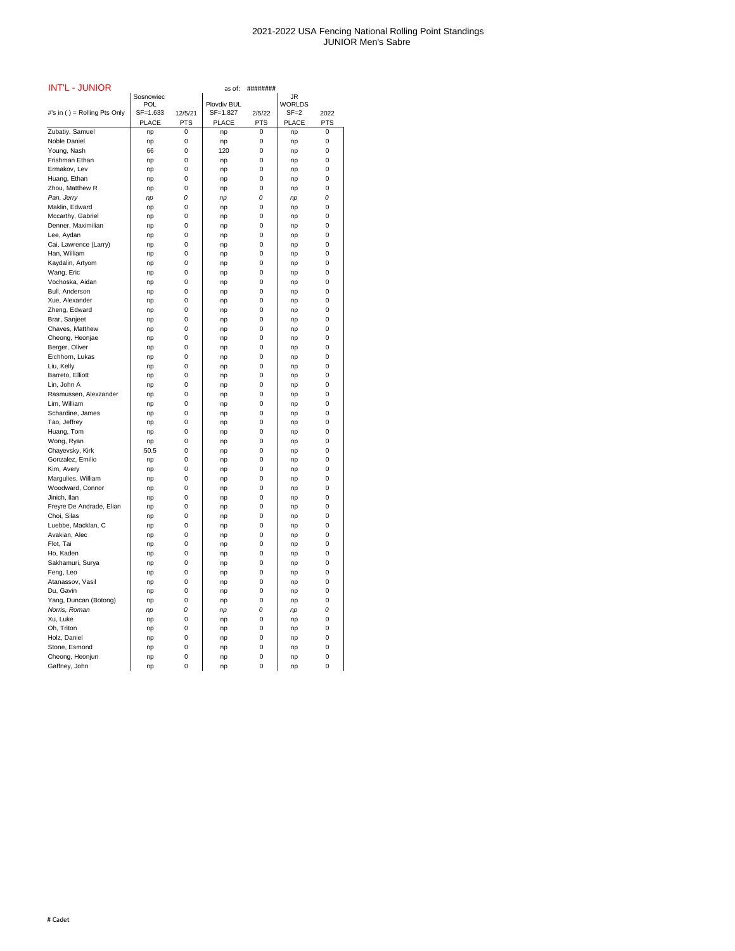| <b>INT'L - JUNIOR</b>                   |                 |            | as of:                  | ########   |                           |                |
|-----------------------------------------|-----------------|------------|-------------------------|------------|---------------------------|----------------|
|                                         | Sosnowiec       |            |                         |            | <b>JR</b>                 |                |
| #'s in () = Rolling Pts Only            | POL<br>SF=1.633 | 12/5/21    | Plovdiv BUL<br>SF=1.827 | 2/5/22     | <b>WORLDS</b><br>$SF = 2$ | 2022           |
|                                         | <b>PLACE</b>    | <b>PTS</b> | <b>PLACE</b>            | <b>PTS</b> | <b>PLACE</b>              | <b>PTS</b>     |
| Zubatiy, Samuel                         | np              | 0          | np                      | 0          | np                        | 0              |
| Noble Daniel                            | np              | 0          | np                      | 0          | np                        | 0              |
| Young, Nash                             | 66              | 0          | 120                     | 0          | np                        | 0              |
| Frishman Ethan                          | np              | 0          | np                      | 0          | np                        | 0              |
| Ermakov, Lev                            | np              | 0          | np                      | 0          | np                        | 0              |
| Huang, Ethan                            | np              | 0          | np                      | 0          | np                        | 0              |
| Zhou, Matthew R                         | np              | 0          | np                      | 0          | np                        | 0              |
| Pan, Jerry                              | np              | 0          | np                      | 0          | np                        | 0              |
| Maklin, Edward                          | np              | 0          | np                      | 0          | np                        | 0              |
| Mccarthy, Gabriel                       | np              | 0          | np                      | 0          | np                        | 0              |
| Denner, Maximilian                      | np              | 0          | np                      | 0          | np                        | 0              |
| Lee, Aydan                              | np              | 0          | np                      | 0          | np                        | 0              |
| Cai, Lawrence (Larry)                   | np              | 0          | np                      | 0          | np                        | 0              |
| Han, William                            | np              | 0          | np                      | 0          | np                        | 0              |
| Kaydalin, Artyom                        | np              | 0          | np                      | 0          | np                        | 0              |
| Wang, Eric                              | np              | 0          | np                      | 0          | np                        | 0              |
| Vochoska, Aidan                         | np              | 0          |                         | 0          |                           | 0              |
| Bull, Anderson                          |                 | 0          | np                      | 0          | np                        | 0              |
| Xue, Alexander                          | np              | 0          | np                      | 0          | np                        | 0              |
| Zheng, Edward                           | np              | 0          | np                      | 0          | np                        | 0              |
| Brar, Sanjeet                           | np              | 0          | np                      | 0          | np                        | 0              |
| Chaves, Matthew                         | np              | 0          | np                      | 0          | np                        | 0              |
| Cheong, Heonjae                         | np              | 0          | np                      | 0          | np                        | 0              |
| Berger, Oliver                          | np              | 0          | np                      | 0          | np                        | 0              |
| Eichhorn, Lukas                         | np              | 0          | np                      | 0          | np                        | 0              |
|                                         | np              |            | np                      | 0          | np                        |                |
| Liu, Kelly<br>Barreto, Elliott          | np              | 0<br>0     | np                      | $\pmb{0}$  | np                        | 0<br>$\pmb{0}$ |
|                                         | np              |            | np                      | 0          | np                        | 0              |
| Lin, John A<br>Rasmussen, Alexzander    | np              | 0<br>0     | np                      | 0          | np                        | 0              |
| Lim, William                            | np              | 0          | np                      |            | np                        |                |
| Schardine, James                        | np              | 0          | np                      | 0<br>0     | np                        | 0<br>0         |
|                                         | np              |            | np                      | 0          | np                        |                |
| Tao, Jeffrey                            | np              | 0          | np                      |            | np                        | 0<br>0         |
| Huang, Tom                              | np              | 0<br>0     | np                      | 0          | np                        | 0              |
| Wong, Ryan                              | np              |            | np                      | 0          | np                        |                |
| Chayevsky, Kirk                         | 50.5            | 0<br>0     | np                      | 0<br>0     | np                        | 0              |
| Gonzalez, Emilio                        | np              | 0          | np                      | 0          | np                        | 0              |
| Kim, Avery                              | np              |            | np                      | 0          | np                        | 0<br>0         |
| Margulies, William                      | np              | 0          | np                      | 0          | np                        | 0              |
| Woodward, Connor<br>Jinich, llan        | np              | 0<br>0     | np                      | 0          | np                        | 0              |
|                                         | np              |            | np                      | 0          | np                        | 0              |
| Freyre De Andrade, Elian<br>Choi, Silas | np              | 0<br>0     | np                      | 0          | np                        | 0              |
|                                         | np              |            | np                      |            | np                        |                |
| Luebbe, Macklan, C                      | np              | 0          | np                      | 0          | np                        | 0              |
| Avakian, Alec                           | np              | 0          | np                      | 0          | np                        | 0              |
| Flot, Tai                               | np              | 0          | np                      | 0          | np                        | 0              |
| Ho, Kaden                               | np              | 0          | np                      | 0          | np                        | 0              |
| Sakhamuri, Surya                        | np              | 0          | np                      | 0          | np                        | 0              |
| Feng, Leo                               | np              | 0          | np                      | 0          | np                        | 0              |
| Atanassov, Vasil                        | np              | 0          | np                      | 0          | np                        | 0              |
| Du, Gavin                               | np              | 0          | np                      | 0          | np                        | 0              |
| Yang, Duncan (Botong)                   | np              | 0          | np                      | 0          | np                        | 0              |
| Norris, Roman                           | np              | 0          | np                      | 0          | np                        | 0              |
| Xu, Luke                                | np              | 0          | np                      | 0          | np                        | 0              |
| Oh, Triton                              | np              | 0          | np                      | 0          | np                        | 0              |
| Holz, Daniel                            | np              | 0          | np                      | 0          | np                        | 0              |
| Stone, Esmond                           | np              | 0          | np                      | 0          | np                        | 0              |
| Cheong, Heonjun                         | np              | 0          | np                      | 0          | np                        | 0              |
| Gaffnev. John                           | nn              | 0          | nn                      | 0          | nn                        | 0              |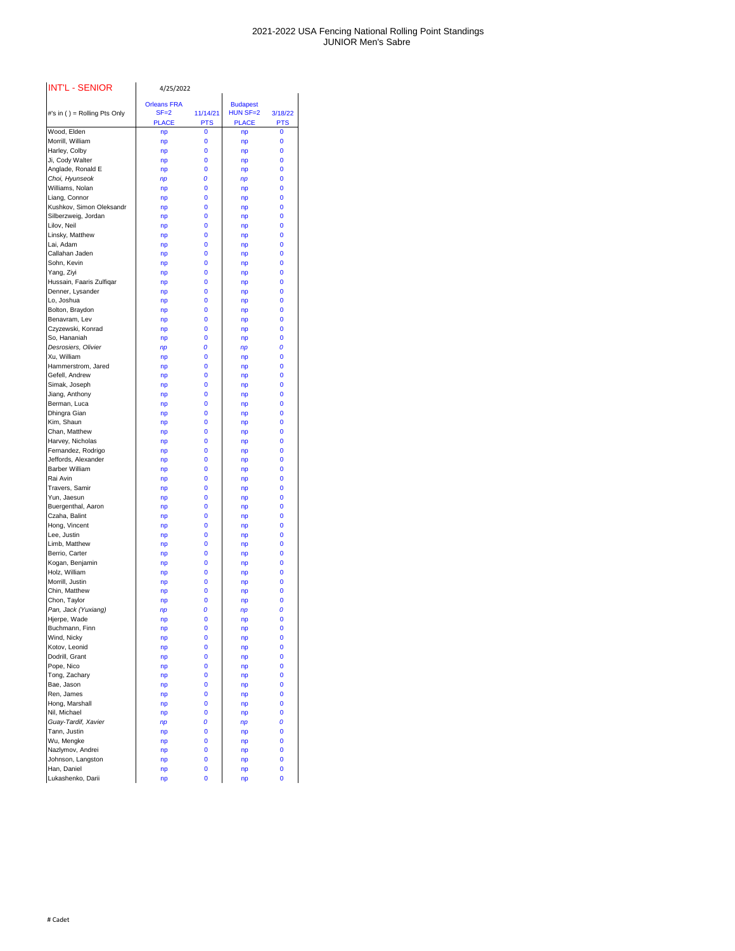| <b>INT'L - SENIOR</b>                     | 4/25/2022                                      |                        |                                               |                            |
|-------------------------------------------|------------------------------------------------|------------------------|-----------------------------------------------|----------------------------|
| #'s in () = Rolling Pts Only              | <b>Orleans FRA</b><br>$SF = 2$<br><b>PLACE</b> | 11/14/21<br><b>PTS</b> | <b>Budapest</b><br>$HUN SF=2$<br><b>PLACE</b> | 3/18/22<br><b>PTS</b>      |
| Wood, Elden                               | np                                             | $\mathbf 0$            | np                                            | 0                          |
| Morrill, William                          | np                                             | $\mathbf 0$            | np                                            | 0                          |
| Harley, Colby                             | np                                             | 0                      | np                                            | 0                          |
| Ji, Cody Walter<br>Anglade, Ronald E      | np                                             | 0<br>0                 | np                                            | 0<br>0                     |
| Choi, Hyunseok                            | np<br>np                                       | 0                      | np<br>np                                      | 0                          |
| Williams, Nolan                           | np                                             | $\mathbf 0$            | np                                            | 0                          |
| Liang, Connor                             | np                                             | 0                      | np                                            | 0                          |
| Kushkov, Simon Oleksandr                  | np                                             | $\mathbf 0$            | np                                            | 0                          |
| Silberzweig, Jordan                       | np                                             | 0                      | np                                            | $\mathbf 0$                |
| Lilov, Neil                               | np                                             | $\mathbf 0$            | np                                            | 0                          |
| Linsky, Matthew                           | np                                             | 0                      | np                                            | 0                          |
| Lai, Adam                                 | np                                             | 0                      | np                                            | 0                          |
| Callahan Jaden<br>Sohn, Kevin             | np                                             | $\mathbf 0$<br>0       | np                                            | 0<br>0                     |
| Yang, Ziyi                                | np<br>np                                       | $\mathbf 0$            | np<br>np                                      | 0                          |
| Hussain, Faaris Zulfiqar                  | np                                             | 0                      | np                                            | 0                          |
| Denner, Lysander                          | np                                             | 0                      | np                                            | 0                          |
| Lo, Joshua                                | np                                             | 0                      | np                                            | 0                          |
| Bolton, Braydon                           | np                                             | $\mathbf 0$            | np                                            | 0                          |
| Benavram, Lev                             | np                                             | $\mathbf 0$            | np                                            | 0                          |
| Czyzewski, Konrad                         | np                                             | 0                      | np                                            | 0                          |
| So, Hananiah                              | np                                             | 0                      | np                                            | 0                          |
| Desrosiers, Olivier                       | np                                             | 0                      | np                                            | 0                          |
| Xu, William<br>Hammerstrom, Jared         | np                                             | 0<br>0                 | np                                            | 0                          |
| Gefell, Andrew                            | np<br>np                                       | 0                      | np<br>np                                      | 0<br>$\bf{0}$              |
| Simak, Joseph                             | np                                             | 0                      | np                                            | 0                          |
| Jiang, Anthony                            | np                                             | 0                      | np                                            | $\bf{0}$                   |
| Berman, Luca                              | np                                             | 0                      | np                                            | 0                          |
| Dhingra Gian                              | np                                             | 0                      | np                                            | $\bf{0}$                   |
| Kim, Shaun                                | np                                             | 0                      | np                                            | $\bf{0}$                   |
| Chan, Matthew                             | np                                             | 0                      | np                                            | $\bf{0}$                   |
| Harvey, Nicholas                          | np                                             | 0                      | np                                            | $\bf{0}$                   |
| Fernandez, Rodrigo<br>Jeffords, Alexander | np                                             | 0                      | np                                            | $\bf{0}$<br>$\bf{0}$       |
| <b>Barber William</b>                     | np<br>np                                       | 0<br>0                 | np<br>np                                      | $\bf{0}$                   |
| Rai Avin                                  | np                                             | 0                      | np                                            | $\mathbf 0$                |
| Travers, Samir                            | np                                             | 0                      | np                                            | $\bf{0}$                   |
| Yun, Jaesun                               | np                                             | 0                      | np                                            | $\bf{0}$                   |
| Buergenthal, Aaron                        | np                                             | 0                      | np                                            | $\bf{0}$                   |
| Czaha, Balint                             | np                                             | 0                      | np                                            | $\bf{0}$                   |
| Hong, Vincent                             | np                                             | 0                      | np                                            | $\mathbf 0$                |
| Lee, Justin                               | np                                             | 0                      | np                                            | $\bf{0}$                   |
| Limb, Matthew                             | np                                             | 0                      | np                                            | 0                          |
| Berrio, Carter                            | np                                             | 0                      | np                                            | $\bf{0}$                   |
| Kogan, Benjamin<br>Holz, William          | np<br>np                                       | 0<br>0                 | np<br>np                                      | $\bf{0}$<br>$\bf{0}$       |
| Morrill, Justin                           | np                                             | 0                      | np                                            | $\bf{0}$                   |
| Chin, Matthew                             | np                                             | 0                      | np                                            | 0                          |
| Chon, Taylor                              | np                                             | 0                      | np                                            | $\bf{0}$                   |
| Pan, Jack (Yuxiang)                       | np                                             | 0                      | np                                            | 0                          |
| Hjerpe, Wade                              | np                                             | 0                      | np                                            | 0                          |
| Buchmann, Finn                            | np                                             | 0                      | np                                            | 0                          |
| Wind, Nicky                               | np                                             | 0                      | np                                            | 0                          |
| Kotov, Leonid                             | np                                             | 0                      | np                                            | 0                          |
| Dodrill, Grant                            | np                                             | 0                      | np                                            | 0                          |
| Pope, Nico<br>Tong, Zachary               | np<br>np                                       | $\bf{0}$<br>0          | np                                            | $\mathbf 0$<br>$\mathbf 0$ |
| Bae, Jason                                | np                                             | 0                      | np<br>np                                      | 0                          |
| Ren, James                                | np                                             | 0                      | np                                            | 0                          |
| Hong, Marshall                            | np                                             | 0                      | np                                            | 0                          |
| Nil, Michael                              | np                                             | 0                      | np                                            | 0                          |
| Guay-Tardif, Xavier                       | np                                             | 0                      | np                                            | 0                          |
| Tann, Justin                              | np                                             | 0                      | np                                            | 0                          |
| Wu, Mengke                                | np                                             | 0                      | np                                            | 0                          |
| Nazlymov, Andrei                          | np                                             | 0                      | np                                            | 0                          |
| Johnson, Langston                         | np                                             | 0                      | np                                            | 0                          |
| Han, Daniel                               | np                                             | 0                      | np                                            | 0                          |
| Lukashenko, Darii                         | np                                             | 0                      | np                                            | 0                          |